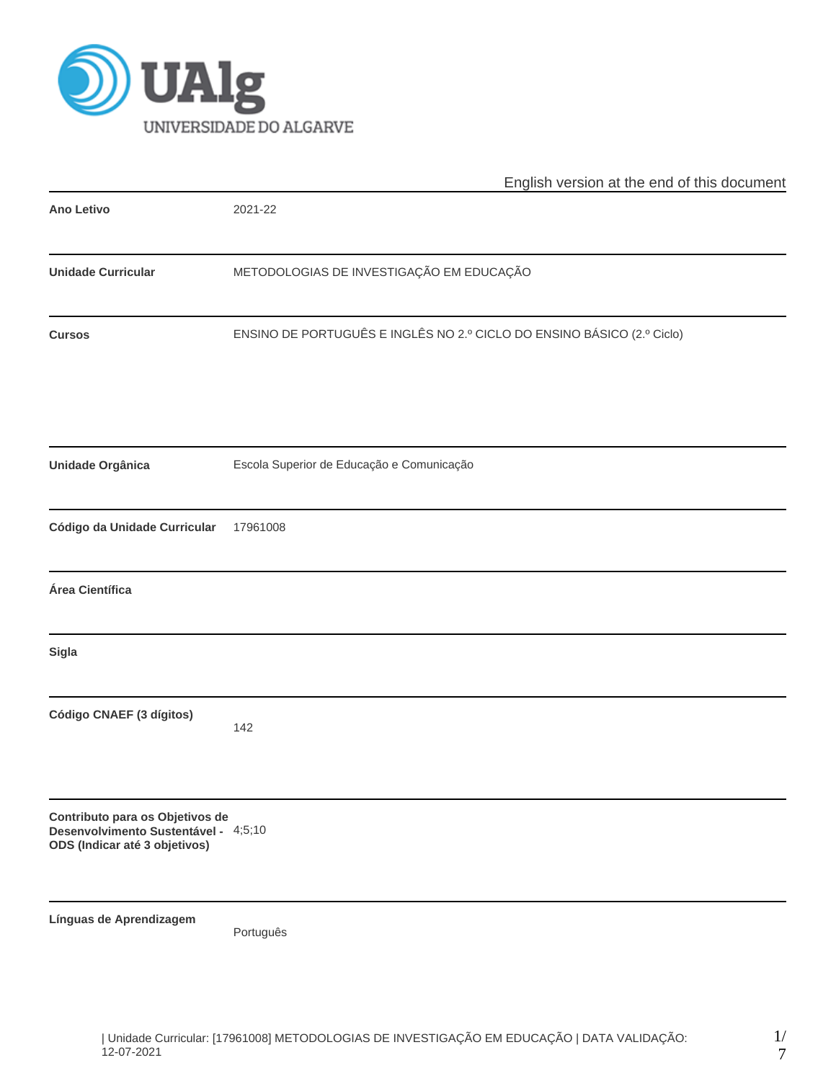

|                                                                                                          | English version at the end of this document                            |  |  |  |  |  |  |
|----------------------------------------------------------------------------------------------------------|------------------------------------------------------------------------|--|--|--|--|--|--|
| <b>Ano Letivo</b>                                                                                        | 2021-22                                                                |  |  |  |  |  |  |
| <b>Unidade Curricular</b>                                                                                | METODOLOGIAS DE INVESTIGAÇÃO EM EDUCAÇÃO                               |  |  |  |  |  |  |
| <b>Cursos</b>                                                                                            | ENSINO DE PORTUGUÊS E INGLÊS NO 2.º CICLO DO ENSINO BÁSICO (2.º Ciclo) |  |  |  |  |  |  |
| <b>Unidade Orgânica</b>                                                                                  | Escola Superior de Educação e Comunicação                              |  |  |  |  |  |  |
| Código da Unidade Curricular                                                                             | 17961008                                                               |  |  |  |  |  |  |
| Área Científica                                                                                          |                                                                        |  |  |  |  |  |  |
| Sigla                                                                                                    |                                                                        |  |  |  |  |  |  |
| Código CNAEF (3 dígitos)                                                                                 | 142                                                                    |  |  |  |  |  |  |
| Contributo para os Objetivos de<br>Desenvolvimento Sustentável - 4;5;10<br>ODS (Indicar até 3 objetivos) |                                                                        |  |  |  |  |  |  |
| Línguas de Aprendizagem                                                                                  | Português                                                              |  |  |  |  |  |  |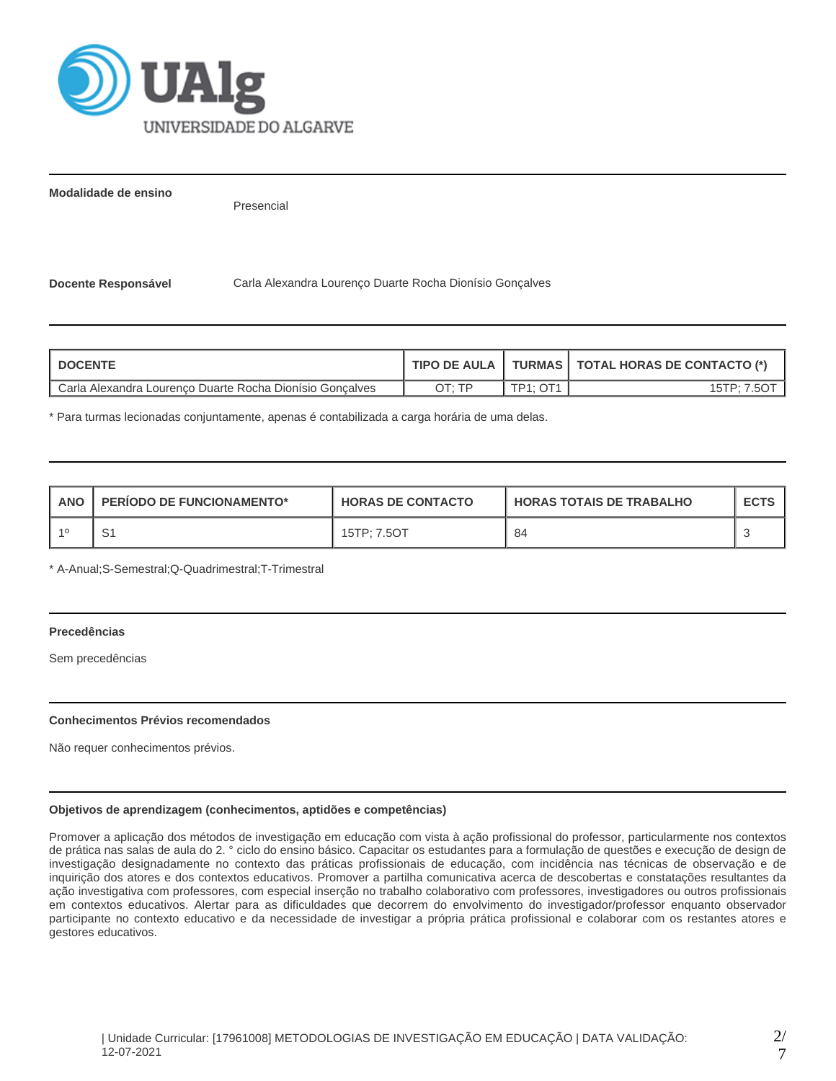

**Modalidade de ensino**

Presencial

**Docente Responsável** Carla Alexandra Lourenço Duarte Rocha Dionísio Gonçalves

| <b>DOCENTE</b>                                           | <b>TIPO DE AULA I</b> |                       | TURMAS   TOTAL HORAS DE CONTACTO (*) |
|----------------------------------------------------------|-----------------------|-----------------------|--------------------------------------|
| Carla Alexandra Lourenco Duarte Rocha Dionísio Goncalves | חד ּיד∩               | $TD4 \cdot \bigcap 1$ | 15TP: 7.5O                           |

\* Para turmas lecionadas conjuntamente, apenas é contabilizada a carga horária de uma delas.

| <b>ANO</b> | <b>PERIODO DE FUNCIONAMENTO*</b> | <b>HORAS DE CONTACTO</b> | <b>HORAS TOTAIS DE TRABALHO</b> | <b>ECTS</b> |
|------------|----------------------------------|--------------------------|---------------------------------|-------------|
| $-40$      | ا ب                              | 15TP: 7.5OT              | 84                              |             |

\* A-Anual;S-Semestral;Q-Quadrimestral;T-Trimestral

# **Precedências**

Sem precedências

## **Conhecimentos Prévios recomendados**

Não requer conhecimentos prévios.

## **Objetivos de aprendizagem (conhecimentos, aptidões e competências)**

Promover a aplicação dos métodos de investigação em educação com vista à ação profissional do professor, particularmente nos contextos de prática nas salas de aula do 2. ° ciclo do ensino básico. Capacitar os estudantes para a formulação de questões e execução de design de investigação designadamente no contexto das práticas profissionais de educação, com incidência nas técnicas de observação e de inquirição dos atores e dos contextos educativos. Promover a partilha comunicativa acerca de descobertas e constatações resultantes da ação investigativa com professores, com especial inserção no trabalho colaborativo com professores, investigadores ou outros profissionais em contextos educativos. Alertar para as dificuldades que decorrem do envolvimento do investigador/professor enquanto observador participante no contexto educativo e da necessidade de investigar a própria prática profissional e colaborar com os restantes atores e gestores educativos.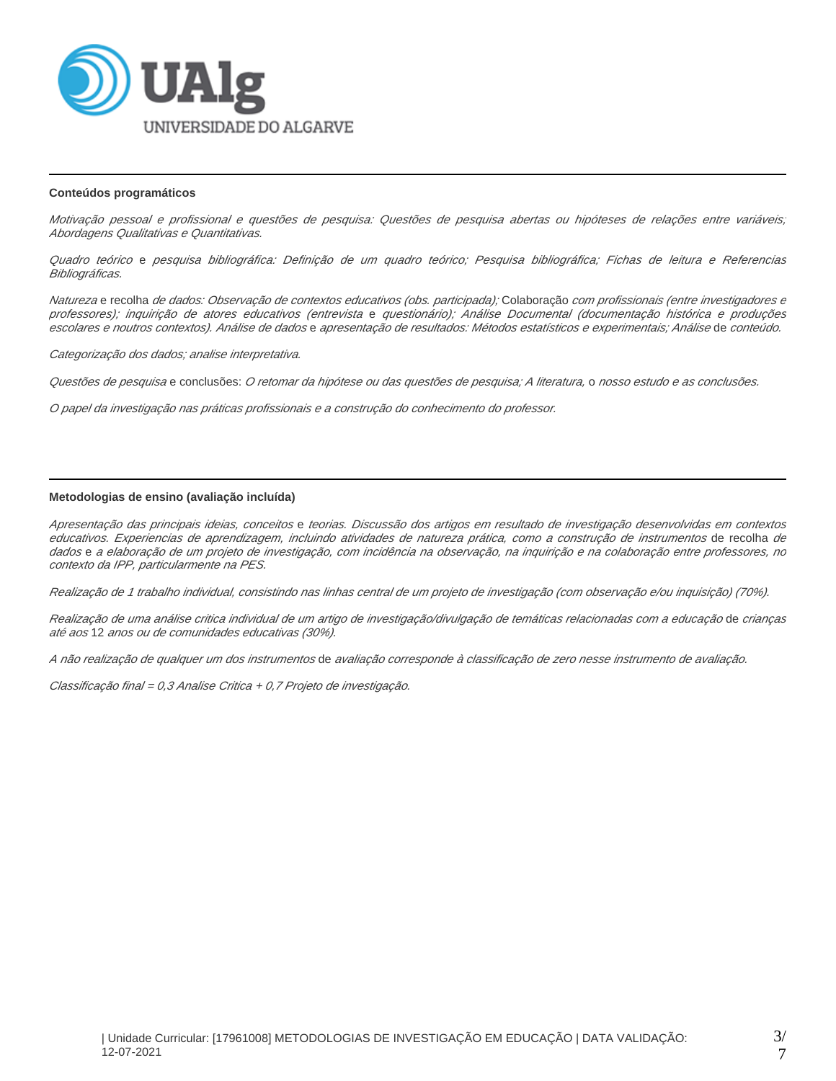

#### **Conteúdos programáticos**

Motivação pessoal e profissional e questões de pesquisa: Questões de pesquisa abertas ou hipóteses de relações entre variáveis; Abordagens Qualitativas e Quantitativas.

Quadro teórico e pesquisa bibliográfica: Definição de um quadro teórico; Pesquisa bibliográfica; Fichas de leitura e Referencias Bibliográficas.

Natureza e recolha *de dados: Observação de contextos educativos (obs. participada);* Colaboração *com profissionais (entre investigadores e* professores); inquirição de atores educativos (entrevista e questionário); Análise Documental (documentação histórica e produções escolares e noutros contextos). Análise de dados e apresentação de resultados: Métodos estatísticos e experimentais; Análise de conteúdo.

Categorização dos dados; analise interpretativa.

Questões de pesquisa e conclusões: O retomar da hipótese ou das questões de pesquisa; A literatura, o nosso estudo e as conclusões.

O papel da investigação nas práticas profissionais e a construção do conhecimento do professor.

# **Metodologias de ensino (avaliação incluída)**

Apresentação das principais ideias, conceitos e teorias. Discussão dos artigos em resultado de investigação desenvolvidas em contextos educativos. Experiencias de aprendizagem, incluindo atividades de natureza prática, como a construção de instrumentos de recolha de dados e a elaboração de um projeto de investigação, com incidência na observação, na inquirição e na colaboração entre professores, no contexto da IPP, particularmente na PES.

Realização de 1 trabalho individual, consistindo nas linhas central de um projeto de investigação (com observação e/ou inquisição) (70%).

Realização de uma análise critica individual de um artigo de investigação/divulgação de temáticas relacionadas com a educação de crianças até aos 12 anos ou de comunidades educativas (30%).

A não realização de qualquer um dos instrumentos de avaliação corresponde à classificação de zero nesse instrumento de avaliação.

Classificação final = 0,3 Analise Critica + 0,7 Projeto de investigação.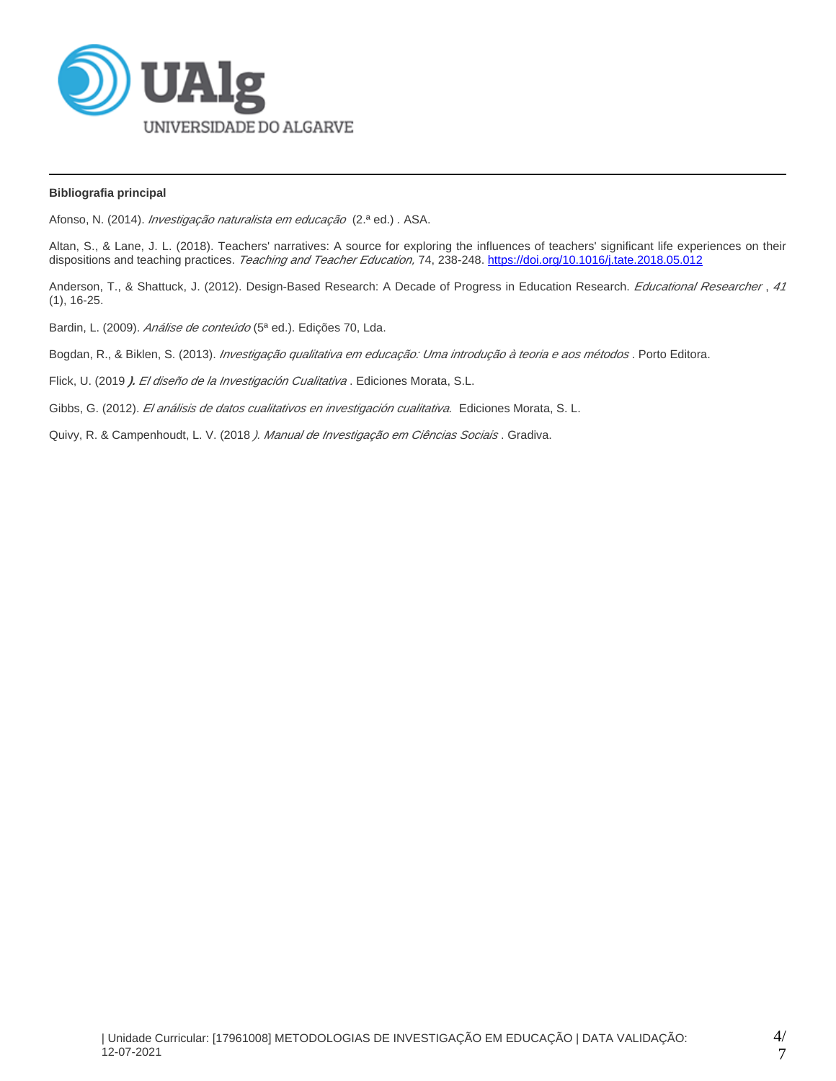

## **Bibliografia principal**

Afonso, N. (2014). *Investigação naturalista em educação* (2.ª ed.). ASA.

Altan, S., & Lane, J. L. (2018). Teachers' narratives: A source for exploring the influences of teachers' significant life experiences on their dispositions and teaching practices. Teaching and Teacher Education, 74, 238-248.<https://doi.org/10.1016/j.tate.2018.05.012>

Anderson, T., & Shattuck, J. (2012). Design-Based Research: A Decade of Progress in Education Research. Educational Researcher, 41 (1), 16-25.

Bardin, L. (2009). Análise de conteúdo (5ª ed.). Edições 70, Lda.

Bogdan, R., & Biklen, S. (2013). *Investigação qualitativa em educação: Uma introdução à teoria e aos métodos*. Porto Editora.

Flick, U. (2019 **).** El diseño de la Investigación Cualitativa . Ediciones Morata, S.L.

Gibbs, G. (2012). El análisis de datos cualitativos en investigación cualitativa. Ediciones Morata, S. L.

Quivy, R. & Campenhoudt, L. V. (2018 *). Manual de Investigação em Ciências Sociais* . Gradiva.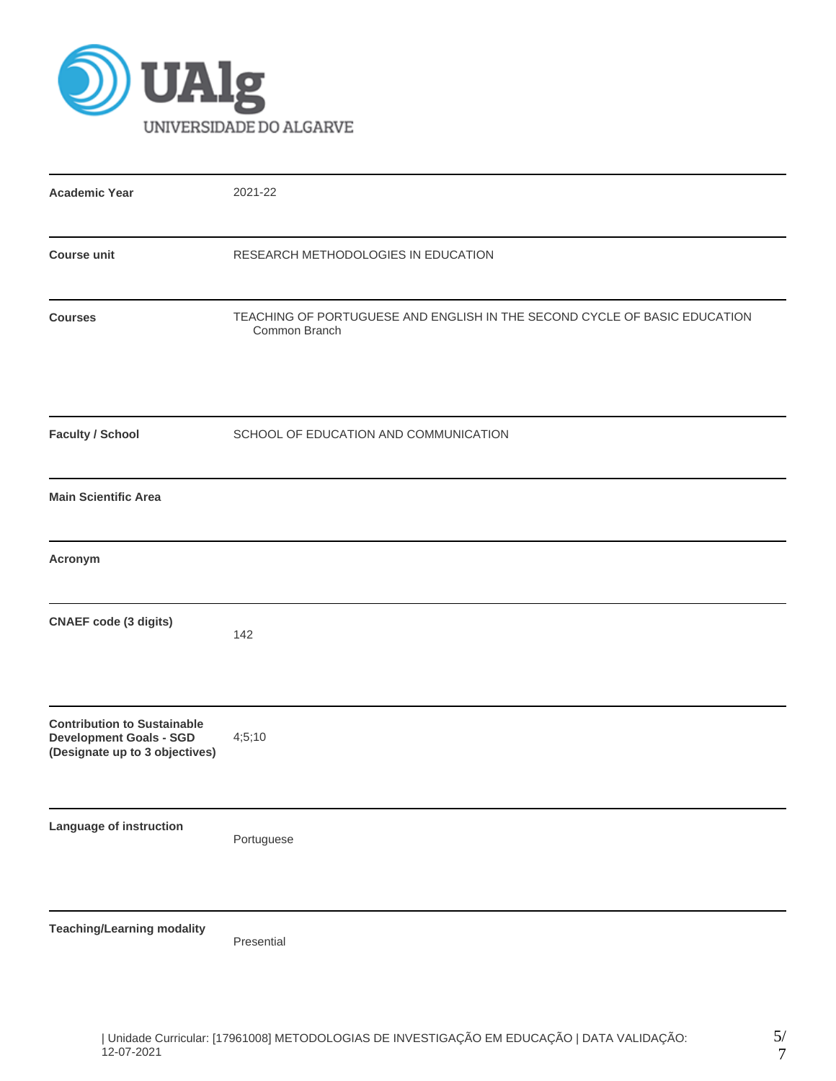

| <b>Academic Year</b>                                                                                   | 2021-22                                                                                    |
|--------------------------------------------------------------------------------------------------------|--------------------------------------------------------------------------------------------|
| <b>Course unit</b>                                                                                     | RESEARCH METHODOLOGIES IN EDUCATION                                                        |
| <b>Courses</b>                                                                                         | TEACHING OF PORTUGUESE AND ENGLISH IN THE SECOND CYCLE OF BASIC EDUCATION<br>Common Branch |
| <b>Faculty / School</b>                                                                                | SCHOOL OF EDUCATION AND COMMUNICATION                                                      |
| <b>Main Scientific Area</b>                                                                            |                                                                                            |
| Acronym                                                                                                |                                                                                            |
| <b>CNAEF</b> code (3 digits)                                                                           | 142                                                                                        |
| <b>Contribution to Sustainable</b><br><b>Development Goals - SGD</b><br>(Designate up to 3 objectives) | 4;5;10                                                                                     |
| Language of instruction                                                                                | Portuguese                                                                                 |
| <b>Teaching/Learning modality</b>                                                                      | Presential                                                                                 |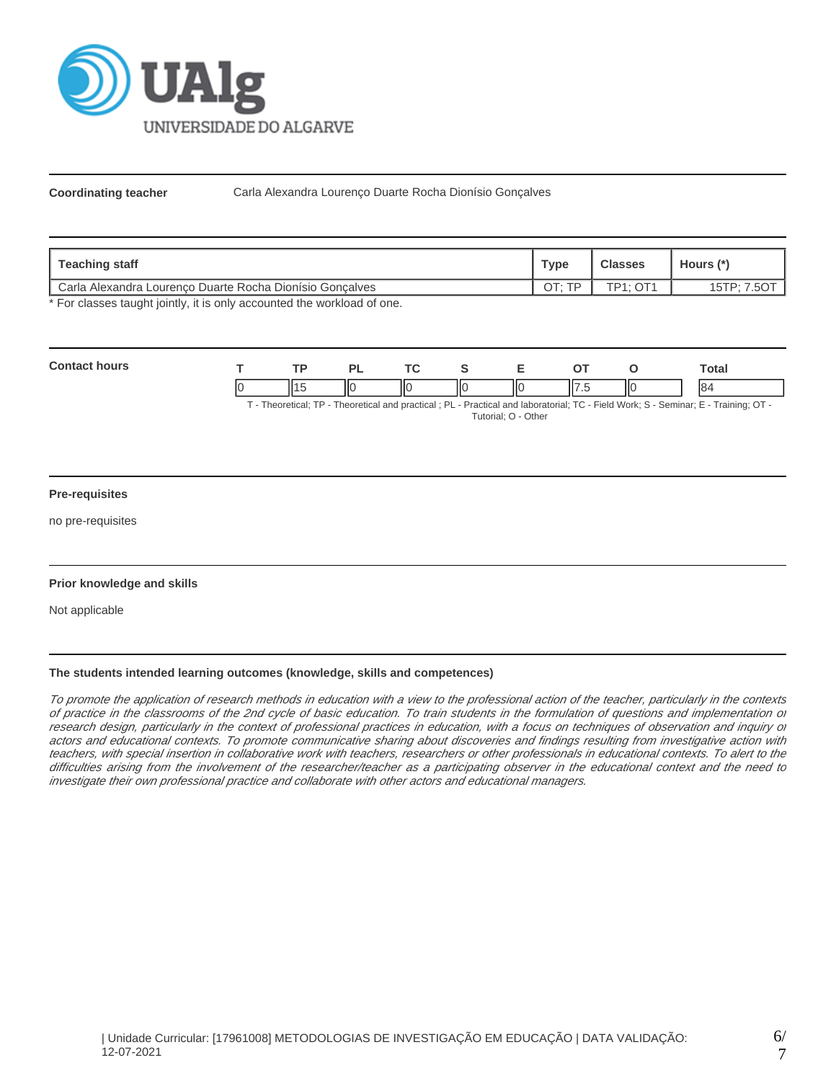

**Coordinating teacher** Carla Alexandra Lourenço Duarte Rocha Dionísio Gonçalves

| Teaching staff                                           | Туре       | <b>Classes</b>        | Hours (*)      |
|----------------------------------------------------------|------------|-----------------------|----------------|
| Carla Alexandra Lourenco Duarte Rocha Dionísio Goncalves | TD.<br>CTC | $TD4 \cdot \bigcap 4$ | .507<br>15TP:7 |

\* For classes taught jointly, it is only accounted the workload of one.

| Cont |    | TD. |    | <u>те</u> |    |        |      | otal |
|------|----|-----|----|-----------|----|--------|------|------|
|      | ıc |     | ШC | IЮ<br>I   | ШC | $\sim$ | -lic | 84   |

T - Theoretical; TP - Theoretical and practical ; PL - Practical and laboratorial; TC - Field Work; S - Seminar; E - Training; OT - Tutorial; O - Other

## **Pre-requisites**

no pre-requisites

## **Prior knowledge and skills**

Not applicable

# **The students intended learning outcomes (knowledge, skills and competences)**

To promote the application of research methods in education with a view to the professional action of the teacher, particularly in the contexts of practice in the classrooms of the 2nd cycle of basic education. To train students in the formulation of questions and implementation of research design, particularly in the context of professional practices in education, with a focus on techniques of observation and inquiry or actors and educational contexts. To promote communicative sharing about discoveries and findings resulting from investigative action with teachers, with special insertion in collaborative work with teachers, researchers or other professionals in educational contexts. To alert to the difficulties arising from the involvement of the researcher/teacher as a participating observer in the educational context and the need to investigate their own professional practice and collaborate with other actors and educational managers.